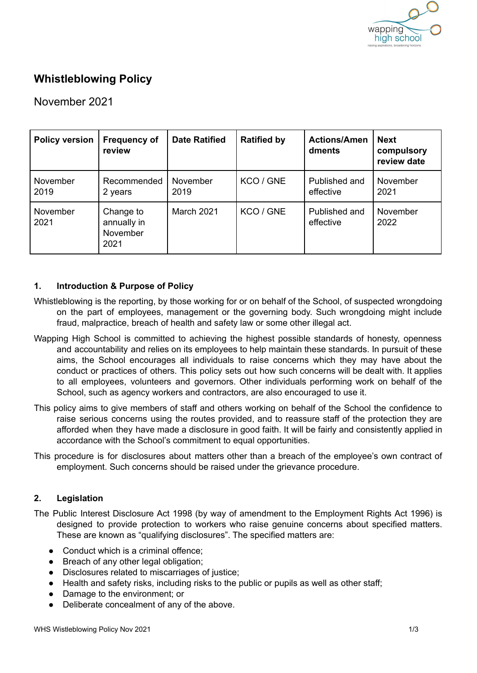

# **Whistleblowing Policy**

November 2021

| <b>Policy version</b>   | <b>Frequency of</b><br>review                       | <b>Date Ratified</b> | <b>Ratified by</b> | <b>Actions/Amen</b><br>dments | <b>Next</b><br>compulsory<br>review date |
|-------------------------|-----------------------------------------------------|----------------------|--------------------|-------------------------------|------------------------------------------|
| November<br>2019        | Recommended<br>2 years                              | November<br>2019     | KCO / GNE          | Published and<br>effective    | November<br>2021                         |
| <b>November</b><br>2021 | Change to<br>annually in<br><b>November</b><br>2021 | March 2021           | KCO / GNE          | Published and<br>effective    | November<br>2022                         |

# **1. Introduction & Purpose of Policy**

- Whistleblowing is the reporting, by those working for or on behalf of the School, of suspected wrongdoing on the part of employees, management or the governing body. Such wrongdoing might include fraud, malpractice, breach of health and safety law or some other illegal act.
- Wapping High School is committed to achieving the highest possible standards of honesty, openness and accountability and relies on its employees to help maintain these standards. In pursuit of these aims, the School encourages all individuals to raise concerns which they may have about the conduct or practices of others. This policy sets out how such concerns will be dealt with. It applies to all employees, volunteers and governors. Other individuals performing work on behalf of the School, such as agency workers and contractors, are also encouraged to use it.
- This policy aims to give members of staff and others working on behalf of the School the confidence to raise serious concerns using the routes provided, and to reassure staff of the protection they are afforded when they have made a disclosure in good faith. It will be fairly and consistently applied in accordance with the School's commitment to equal opportunities.
- This procedure is for disclosures about matters other than a breach of the employee's own contract of employment. Such concerns should be raised under the grievance procedure.

# **2. Legislation**

- The Public Interest Disclosure Act 1998 (by way of amendment to the Employment Rights Act 1996) is designed to provide protection to workers who raise genuine concerns about specified matters. These are known as "qualifying disclosures". The specified matters are:
	- Conduct which is a criminal offence:
	- Breach of any other legal obligation;
	- Disclosures related to miscarriages of justice;
	- Health and safety risks, including risks to the public or pupils as well as other staff:
	- Damage to the environment; or
	- Deliberate concealment of any of the above.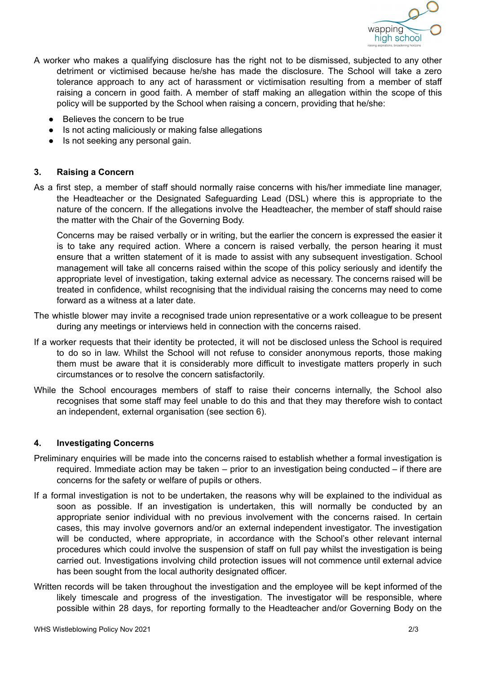

- A worker who makes a qualifying disclosure has the right not to be dismissed, subjected to any other detriment or victimised because he/she has made the disclosure. The School will take a zero tolerance approach to any act of harassment or victimisation resulting from a member of staff raising a concern in good faith. A member of staff making an allegation within the scope of this policy will be supported by the School when raising a concern, providing that he/she:
	- Believes the concern to be true
	- Is not acting maliciously or making false allegations
	- Is not seeking any personal gain.

## **3. Raising a Concern**

As a first step, a member of staff should normally raise concerns with his/her immediate line manager, the Headteacher or the Designated Safeguarding Lead (DSL) where this is appropriate to the nature of the concern. If the allegations involve the Headteacher, the member of staff should raise the matter with the Chair of the Governing Body.

Concerns may be raised verbally or in writing, but the earlier the concern is expressed the easier it is to take any required action. Where a concern is raised verbally, the person hearing it must ensure that a written statement of it is made to assist with any subsequent investigation. School management will take all concerns raised within the scope of this policy seriously and identify the appropriate level of investigation, taking external advice as necessary. The concerns raised will be treated in confidence, whilst recognising that the individual raising the concerns may need to come forward as a witness at a later date.

- The whistle blower may invite a recognised trade union representative or a work colleague to be present during any meetings or interviews held in connection with the concerns raised.
- If a worker requests that their identity be protected, it will not be disclosed unless the School is required to do so in law. Whilst the School will not refuse to consider anonymous reports, those making them must be aware that it is considerably more difficult to investigate matters properly in such circumstances or to resolve the concern satisfactorily.
- While the School encourages members of staff to raise their concerns internally, the School also recognises that some staff may feel unable to do this and that they may therefore wish to contact an independent, external organisation (see section 6).

#### **4. Investigating Concerns**

- Preliminary enquiries will be made into the concerns raised to establish whether a formal investigation is required. Immediate action may be taken – prior to an investigation being conducted – if there are concerns for the safety or welfare of pupils or others.
- If a formal investigation is not to be undertaken, the reasons why will be explained to the individual as soon as possible. If an investigation is undertaken, this will normally be conducted by an appropriate senior individual with no previous involvement with the concerns raised. In certain cases, this may involve governors and/or an external independent investigator. The investigation will be conducted, where appropriate, in accordance with the School's other relevant internal procedures which could involve the suspension of staff on full pay whilst the investigation is being carried out. Investigations involving child protection issues will not commence until external advice has been sought from the local authority designated officer.
- Written records will be taken throughout the investigation and the employee will be kept informed of the likely timescale and progress of the investigation. The investigator will be responsible, where possible within 28 days, for reporting formally to the Headteacher and/or Governing Body on the